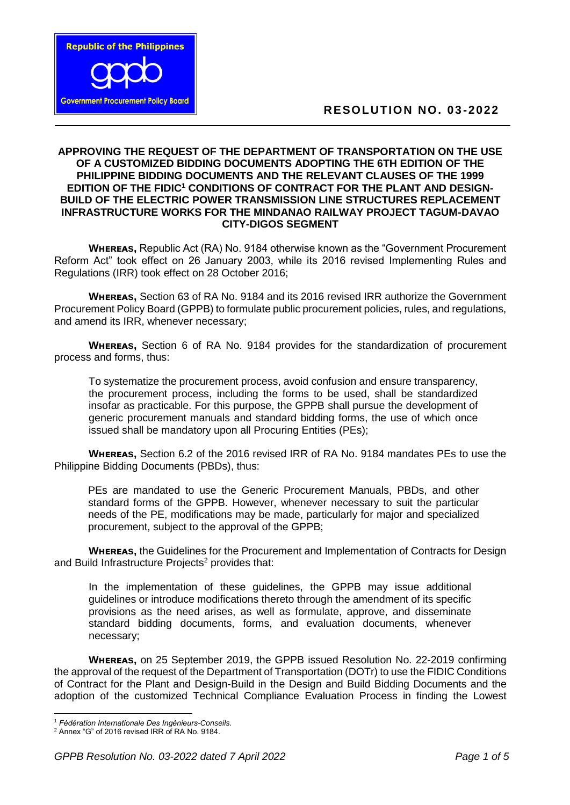

## **APPROVING THE REQUEST OF THE DEPARTMENT OF TRANSPORTATION ON THE USE OF A CUSTOMIZED BIDDING DOCUMENTS ADOPTING THE 6TH EDITION OF THE PHILIPPINE BIDDING DOCUMENTS AND THE RELEVANT CLAUSES OF THE 1999 EDITION OF THE FIDIC<sup>1</sup> CONDITIONS OF CONTRACT FOR THE PLANT AND DESIGN-BUILD OF THE ELECTRIC POWER TRANSMISSION LINE STRUCTURES REPLACEMENT INFRASTRUCTURE WORKS FOR THE MINDANAO RAILWAY PROJECT TAGUM-DAVAO CITY-DIGOS SEGMENT**

**WHEREAS, Republic Act (RA) No. 9184 otherwise known as the "Government Procurement"** Reform Act" took effect on 26 January 2003, while its 2016 revised Implementing Rules and Regulations (IRR) took effect on 28 October 2016;

**WHEREAS, Section 63 of RA No. 9184 and its 2016 revised IRR authorize the Government** Procurement Policy Board (GPPB) to formulate public procurement policies, rules, and regulations, and amend its IRR, whenever necessary;

**WHEREAS, Section 6 of RA No. 9184 provides for the standardization of procurement** process and forms, thus:

To systematize the procurement process, avoid confusion and ensure transparency, the procurement process, including the forms to be used, shall be standardized insofar as practicable. For this purpose, the GPPB shall pursue the development of generic procurement manuals and standard bidding forms, the use of which once issued shall be mandatory upon all Procuring Entities (PEs);

**WHEREAS, Section 6.2 of the 2016 revised IRR of RA No. 9184 mandates PEs to use the** Philippine Bidding Documents (PBDs), thus:

PEs are mandated to use the Generic Procurement Manuals, PBDs, and other standard forms of the GPPB. However, whenever necessary to suit the particular needs of the PE, modifications may be made, particularly for major and specialized procurement, subject to the approval of the GPPB;

**WHEREAS, the Guidelines for the Procurement and Implementation of Contracts for Design** and Build Infrastructure Projects<sup>2</sup> provides that:

In the implementation of these guidelines, the GPPB may issue additional guidelines or introduce modifications thereto through the amendment of its specific provisions as the need arises, as well as formulate, approve, and disseminate standard bidding documents, forms, and evaluation documents, whenever necessary;

**WHEREAS, on 25 September 2019, the GPPB issued Resolution No. 22-2019 confirming** the approval of the request of the Department of Transportation (DOTr) to use the FIDIC Conditions of Contract for the Plant and Design-Build in the Design and Build Bidding Documents and the adoption of the customized Technical Compliance Evaluation Process in finding the Lowest

<sup>1</sup> <sup>1</sup> *Fėdėration Internationale Des Ingėnieurs-Conseils.*

<sup>2</sup> Annex "G" of 2016 revised IRR of RA No. 9184.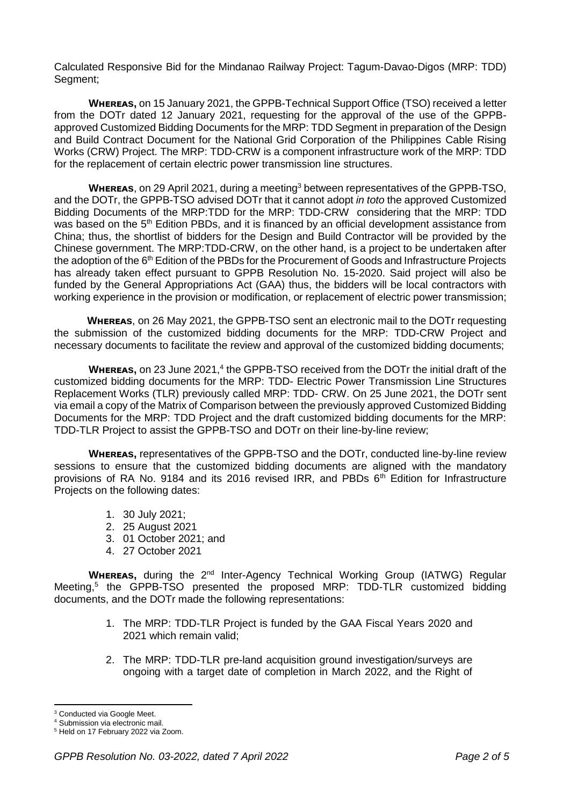Calculated Responsive Bid for the Mindanao Railway Project: Tagum-Davao-Digos (MRP: TDD) Segment;

**WHEREAS, on 15 January 2021, the GPPB-Technical Support Office (TSO) received a letter** from the DOTr dated 12 January 2021, requesting for the approval of the use of the GPPBapproved Customized Bidding Documents for the MRP: TDD Segment in preparation of the Design and Build Contract Document for the National Grid Corporation of the Philippines Cable Rising Works (CRW) Project. The MRP: TDD-CRW is a component infrastructure work of the MRP: TDD for the replacement of certain electric power transmission line structures.

**WHEREAS**, on 29 April 2021, during a meeting<sup>3</sup> between representatives of the GPPB-TSO. and the DOTr, the GPPB-TSO advised DOTr that it cannot adopt *in toto* the approved Customized Bidding Documents of the MRP:TDD for the MRP: TDD-CRW considering that the MRP: TDD was based on the 5<sup>th</sup> Edition PBDs, and it is financed by an official development assistance from China; thus, the shortlist of bidders for the Design and Build Contractor will be provided by the Chinese government. The MRP:TDD-CRW, on the other hand, is a project to be undertaken after the adoption of the 6<sup>th</sup> Edition of the PBDs for the Procurement of Goods and Infrastructure Projects has already taken effect pursuant to GPPB Resolution No. 15-2020. Said project will also be funded by the General Appropriations Act (GAA) thus, the bidders will be local contractors with working experience in the provision or modification, or replacement of electric power transmission;

**WHEREAS, on 26 May 2021, the GPPB-TSO sent an electronic mail to the DOTr requesting** the submission of the customized bidding documents for the MRP: TDD-CRW Project and necessary documents to facilitate the review and approval of the customized bidding documents;

WHEREAS, on 23 June 2021,<sup>4</sup> the GPPB-TSO received from the DOTr the initial draft of the customized bidding documents for the MRP: TDD- Electric Power Transmission Line Structures Replacement Works (TLR) previously called MRP: TDD- CRW. On 25 June 2021, the DOTr sent via email a copy of the Matrix of Comparison between the previously approved Customized Bidding Documents for the MRP: TDD Project and the draft customized bidding documents for the MRP: TDD-TLR Project to assist the GPPB-TSO and DOTr on their line-by-line review;

**WHEREAS, representatives of the GPPB-TSO and the DOTr, conducted line-by-line review** sessions to ensure that the customized bidding documents are aligned with the mandatory provisions of RA No. 9184 and its 2016 revised IRR, and PBDs 6<sup>th</sup> Edition for Infrastructure Projects on the following dates:

- 1. 30 July 2021;
- 2. 25 August 2021
- 3. 01 October 2021; and
- 4. 27 October 2021

**WHEREAS,** during the 2<sup>nd</sup> Inter-Agency Technical Working Group (IATWG) Regular Meeting,<sup>5</sup> the GPPB-TSO presented the proposed MRP: TDD-TLR customized bidding documents, and the DOTr made the following representations:

- 1. The MRP: TDD-TLR Project is funded by the GAA Fiscal Years 2020 and 2021 which remain valid;
- 2. The MRP: TDD-TLR pre-land acquisition ground investigation/surveys are ongoing with a target date of completion in March 2022, and the Right of

**.** 

<sup>3</sup> Conducted via Google Meet.

<sup>4</sup> Submission via electronic mail.

<sup>5</sup> Held on 17 February 2022 via Zoom.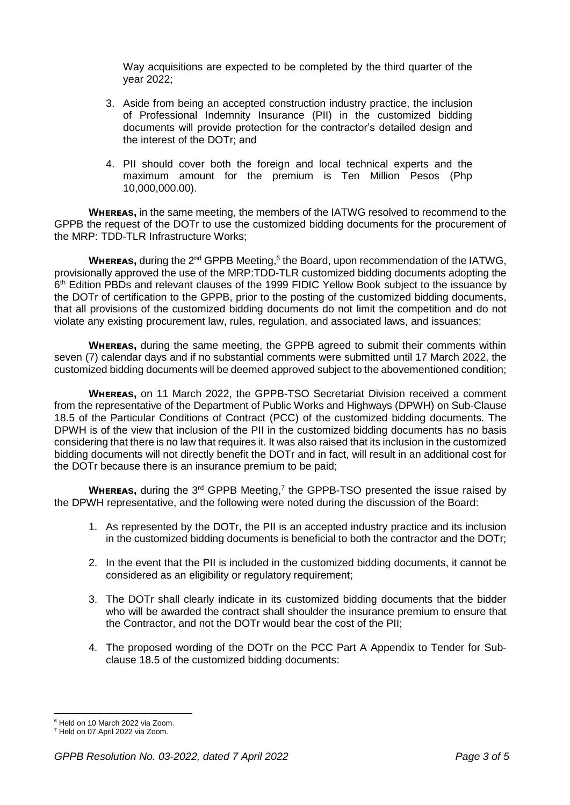Way acquisitions are expected to be completed by the third quarter of the year 2022;

- 3. Aside from being an accepted construction industry practice, the inclusion of Professional Indemnity Insurance (PII) in the customized bidding documents will provide protection for the contractor's detailed design and the interest of the DOTr; and
- 4. PII should cover both the foreign and local technical experts and the maximum amount for the premium is Ten Million Pesos (Php 10,000,000.00).

**WHEREAS,** in the same meeting, the members of the IATWG resolved to recommend to the GPPB the request of the DOTr to use the customized bidding documents for the procurement of the MRP: TDD-TLR Infrastructure Works;

**WHEREAS,** during the 2<sup>nd</sup> GPPB Meeting,<sup>6</sup> the Board, upon recommendation of the IATWG, provisionally approved the use of the MRP:TDD-TLR customized bidding documents adopting the 6<sup>th</sup> Edition PBDs and relevant clauses of the 1999 FIDIC Yellow Book subject to the issuance by the DOTr of certification to the GPPB, prior to the posting of the customized bidding documents, that all provisions of the customized bidding documents do not limit the competition and do not violate any existing procurement law, rules, regulation, and associated laws, and issuances;

**WHEREAS,** during the same meeting, the GPPB agreed to submit their comments within seven (7) calendar days and if no substantial comments were submitted until 17 March 2022, the customized bidding documents will be deemed approved subject to the abovementioned condition;

**WHEREAS,** on 11 March 2022, the GPPB-TSO Secretariat Division received a comment from the representative of the Department of Public Works and Highways (DPWH) on Sub-Clause 18.5 of the Particular Conditions of Contract (PCC) of the customized bidding documents. The DPWH is of the view that inclusion of the PII in the customized bidding documents has no basis considering that there is no law that requires it. It was also raised that its inclusion in the customized bidding documents will not directly benefit the DOTr and in fact, will result in an additional cost for the DOTr because there is an insurance premium to be paid;

**WHEREAS,** during the 3<sup>rd</sup> GPPB Meeting,<sup>7</sup> the GPPB-TSO presented the issue raised by the DPWH representative, and the following were noted during the discussion of the Board:

- 1. As represented by the DOTr, the PII is an accepted industry practice and its inclusion in the customized bidding documents is beneficial to both the contractor and the DOTr;
- 2. In the event that the PII is included in the customized bidding documents, it cannot be considered as an eligibility or regulatory requirement;
- 3. The DOTr shall clearly indicate in its customized bidding documents that the bidder who will be awarded the contract shall shoulder the insurance premium to ensure that the Contractor, and not the DOTr would bear the cost of the PII;
- 4. The proposed wording of the DOTr on the PCC Part A Appendix to Tender for Subclause 18.5 of the customized bidding documents:

<sup>1</sup> <sup>6</sup> Held on 10 March 2022 via Zoom.

<sup>7</sup> Held on 07 April 2022 via Zoom.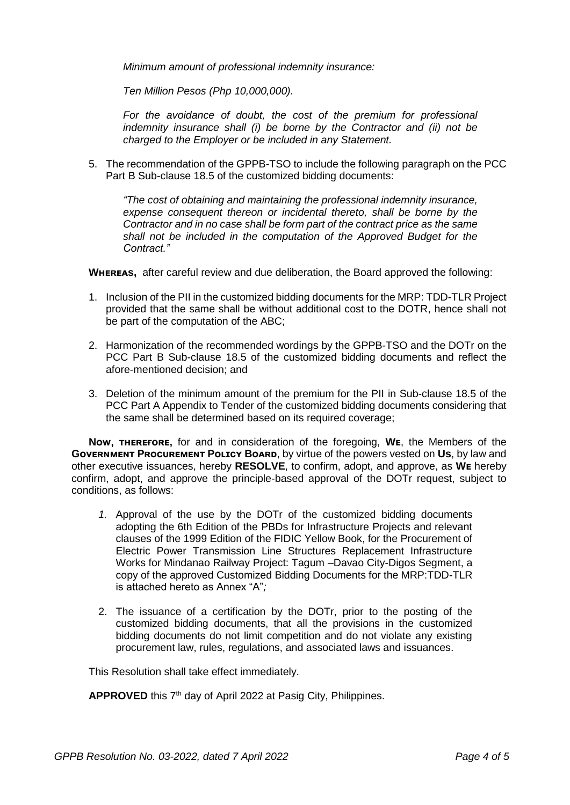*Minimum amount of professional indemnity insurance:*

*Ten Million Pesos (Php 10,000,000).*

For the avoidance of doubt, the cost of the premium for professional *indemnity insurance shall (i) be borne by the Contractor and (ii) not be charged to the Employer or be included in any Statement.*

5. The recommendation of the GPPB-TSO to include the following paragraph on the PCC Part B Sub-clause 18.5 of the customized bidding documents:

*"The cost of obtaining and maintaining the professional indemnity insurance, expense consequent thereon or incidental thereto, shall be borne by the Contractor and in no case shall be form part of the contract price as the same shall not be included in the computation of the Approved Budget for the Contract."*

**WHEREAS, after careful review and due deliberation, the Board approved the following:** 

- 1. Inclusion of the PII in the customized bidding documents for the MRP: TDD-TLR Project provided that the same shall be without additional cost to the DOTR, hence shall not be part of the computation of the ABC;
- 2. Harmonization of the recommended wordings by the GPPB-TSO and the DOTr on the PCC Part B Sub-clause 18.5 of the customized bidding documents and reflect the afore-mentioned decision; and
- 3. Deletion of the minimum amount of the premium for the PII in Sub-clause 18.5 of the PCC Part A Appendix to Tender of the customized bidding documents considering that the same shall be determined based on its required coverage;

**Now, THEREFORE,** for and in consideration of the foregoing, **WE**, the Members of the **GOVERNMENT PROCUREMENT POLICY BOARD, by virtue of the powers vested on Us, by law and** other executive issuances, hereby **RESOLVE**, to confirm, adopt, and approve, as **Wᴇ** hereby confirm, adopt, and approve the principle-based approval of the DOTr request, subject to conditions, as follows:

- *1.* Approval of the use by the DOTr of the customized bidding documents adopting the 6th Edition of the PBDs for Infrastructure Projects and relevant clauses of the 1999 Edition of the FIDIC Yellow Book, for the Procurement of Electric Power Transmission Line Structures Replacement Infrastructure Works for Mindanao Railway Project: Tagum –Davao City-Digos Segment, a copy of the approved Customized Bidding Documents for the MRP:TDD-TLR is attached hereto as Annex "A"*;*
- 2. The issuance of a certification by the DOTr, prior to the posting of the customized bidding documents, that all the provisions in the customized bidding documents do not limit competition and do not violate any existing procurement law, rules, regulations, and associated laws and issuances.

This Resolution shall take effect immediately.

APPROVED this 7<sup>th</sup> day of April 2022 at Pasig City, Philippines.